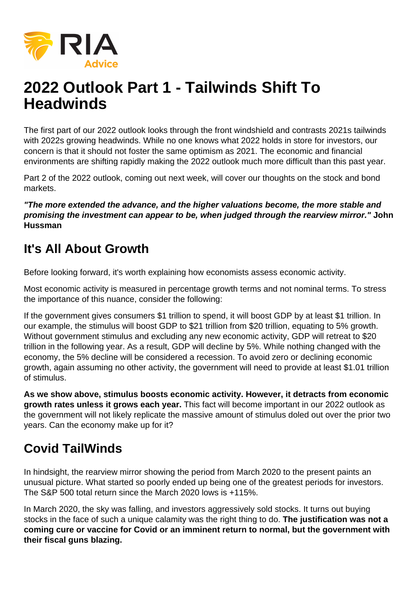

# **2022 Outlook Part 1 - Tailwinds Shift To Headwinds**

The first part of our 2022 outlook looks through the front windshield and contrasts 2021s tailwinds with 2022s growing headwinds. While no one knows what 2022 holds in store for investors, our concern is that it should not foster the same optimism as 2021. The economic and financial environments are shifting rapidly making the 2022 outlook much more difficult than this past year.

Part 2 of the 2022 outlook, coming out next week, will cover our thoughts on the stock and bond markets.

**"The more extended the advance, and the higher valuations become, the more stable and promising the investment can appear to be, when judged through the rearview mirror." John Hussman**

# **It's All About Growth**

Before looking forward, it's worth explaining how economists assess economic activity.

Most economic activity is measured in percentage growth terms and not nominal terms. To stress the importance of this nuance, consider the following:

If the government gives consumers \$1 trillion to spend, it will boost GDP by at least \$1 trillion. In our example, the stimulus will boost GDP to \$21 trillion from \$20 trillion, equating to 5% growth. Without government stimulus and excluding any new economic activity, GDP will retreat to \$20 trillion in the following year. As a result, GDP will decline by 5%. While nothing changed with the economy, the 5% decline will be considered a recession. To avoid zero or declining economic growth, again assuming no other activity, the government will need to provide at least \$1.01 trillion of stimulus.

**As we show above, stimulus boosts economic activity. However, it detracts from economic growth rates unless it grows each year.** This fact will become important in our 2022 outlook as the government will not likely replicate the massive amount of stimulus doled out over the prior two years. Can the economy make up for it?

# **Covid TailWinds**

In hindsight, the rearview mirror showing the period from March 2020 to the present paints an unusual picture. What started so poorly ended up being one of the greatest periods for investors. The S&P 500 total return since the March 2020 lows is +115%.

In March 2020, the sky was falling, and investors aggressively sold stocks. It turns out buying stocks in the face of such a unique calamity was the right thing to do. **The justification was not a coming cure or vaccine for Covid or an imminent return to normal, but the government with their fiscal guns blazing.**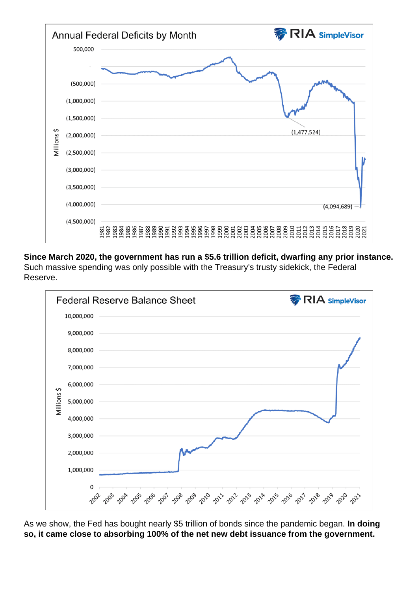Since March 2020, the government has run a \$5.6 trillion deficit, dwarfing any prior instance. Such massive spending was only possible with the Treasury's trusty sidekick, the Federal Reserve.

As we show, the Fed has bought nearly \$5 trillion of bonds since the pandemic began. In doing so, it came close to absorbing 100% of the net new debt issuance from the government.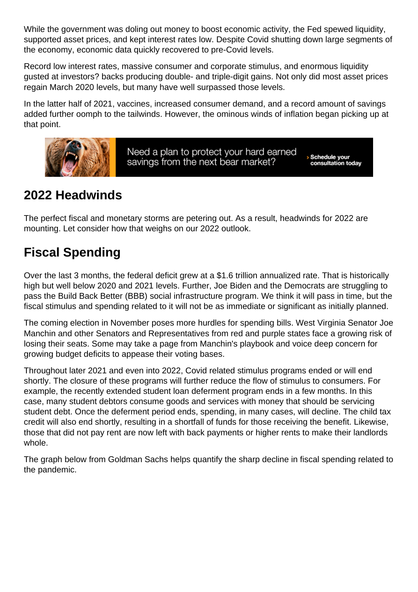While the government was doling out money to boost economic activity, the Fed spewed liquidity, supported asset prices, and kept interest rates low. Despite Covid shutting down large segments of the economy, economic data quickly recovered to pre-Covid levels.

Record low interest rates, massive consumer and corporate stimulus, and enormous liquidity gusted at investors? backs producing double- and triple-digit gains. Not only did most asset prices regain March 2020 levels, but many have well surpassed those levels.

In the latter half of 2021, vaccines, increased consumer demand, and a record amount of savings added further oomph to the tailwinds. However, the ominous winds of inflation began picking up at that point.

### 2022 Headwinds

The perfect fiscal and monetary storms are petering out. As a result, headwinds for 2022 are mounting. Let consider how that weighs on our 2022 outlook.

# Fiscal Spending

Over the last 3 months, the federal deficit grew at a \$1.6 trillion annualized rate. That is historically high but well below 2020 and 2021 levels. Further, Joe Biden and the Democrats are struggling to pass the Build Back Better (BBB) social infrastructure program. We think it will pass in time, but the fiscal stimulus and spending related to it will not be as immediate or significant as initially planned.

The coming election in November poses more hurdles for spending bills. West Virginia Senator Joe Manchin and other Senators and Representatives from red and purple states face a growing risk of losing their seats. Some may take a page from Manchin's playbook and voice deep concern for growing budget deficits to appease their voting bases.

Throughout later 2021 and even into 2022, Covid related stimulus programs ended or will end shortly. The closure of these programs will further reduce the flow of stimulus to consumers. For example, the recently extended student loan deferment program ends in a few months. In this case, many student debtors consume goods and services with money that should be servicing student debt. Once the deferment period ends, spending, in many cases, will decline. The child tax credit will also end shortly, resulting in a shortfall of funds for those receiving the benefit. Likewise, those that did not pay rent are now left with back payments or higher rents to make their landlords whole.

The graph below from Goldman Sachs helps quantify the sharp decline in fiscal spending related to the pandemic.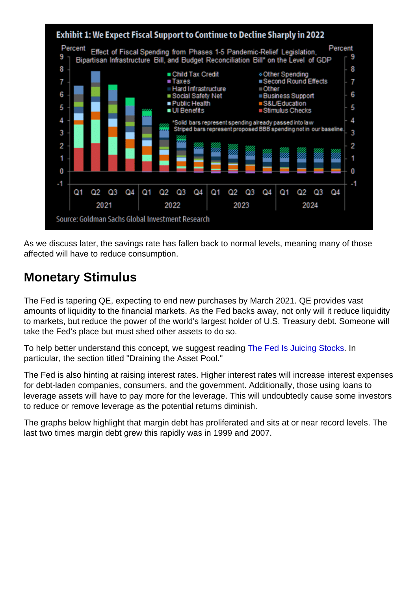As we discuss later, the savings rate has fallen back to normal levels, meaning many of those affected will have to reduce consumption.

#### Monetary Stimulus

The Fed is tapering QE, expecting to end new purchases by March 2021. QE provides vast amounts of liquidity to the financial markets. As the Fed backs away, not only will it reduce liquidity to markets, but reduce the power of the world's largest holder of U.S. Treasury debt. Someone will take the Fed's place but must shed other assets to do so.

To help better understand this concept, we suggest reading [The Fed Is Juicing Stocks](https://realinvestmentadvice.com/the-fed-is-juicing-stocks/). In particular, the section titled "Draining the Asset Pool."

The Fed is also hinting at raising interest rates. Higher interest rates will increase interest expenses for debt-laden companies, consumers, and the government. Additionally, those using loans to leverage assets will have to pay more for the leverage. This will undoubtedly cause some investors to reduce or remove leverage as the potential returns diminish.

The graphs below highlight that margin debt has proliferated and sits at or near record levels. The last two times margin debt grew this rapidly was in 1999 and 2007.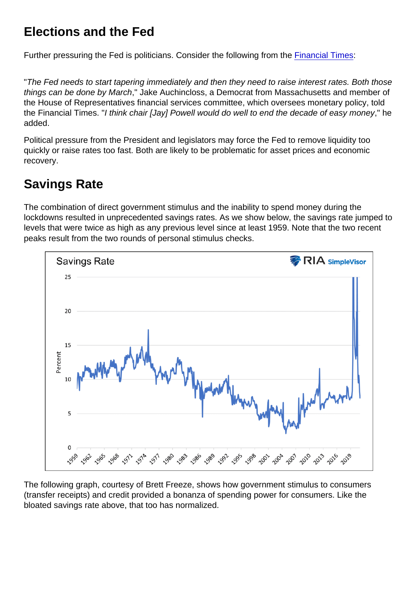#### Elections and the Fed

Further pressuring the Fed is politicians. Consider the following from the [Financial Times:](https://www.ft.com/content/1ae49b1c-f8d6-4c96-8355-3d89049ead60)

"The Fed needs to start tapering immediately and then they need to raise interest rates. Both those things can be done by March," Jake Auchincloss, a Democrat from Massachusetts and member of the House of Representatives financial services committee, which oversees monetary policy, told the Financial Times. "I think chair [Jay] Powell would do well to end the decade of easy money," he added.

Political pressure from the President and legislators may force the Fed to remove liquidity too quickly or raise rates too fast. Both are likely to be problematic for asset prices and economic recovery.

### Savings Rate

The combination of direct government stimulus and the inability to spend money during the lockdowns resulted in unprecedented savings rates. As we show below, the savings rate jumped to levels that were twice as high as any previous level since at least 1959. Note that the two recent peaks result from the two rounds of personal stimulus checks.

The following graph, courtesy of Brett Freeze, shows how government stimulus to consumers (transfer receipts) and credit provided a bonanza of spending power for consumers. Like the bloated savings rate above, that too has normalized.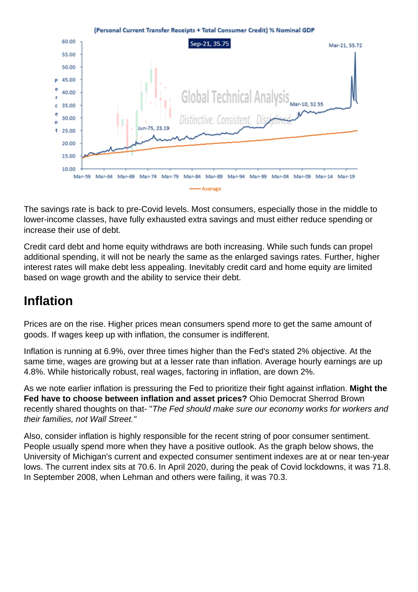The savings rate is back to pre-Covid levels. Most consumers, especially those in the middle to lower-income classes, have fully exhausted extra savings and must either reduce spending or increase their use of debt.

Credit card debt and home equity withdraws are both increasing. While such funds can propel additional spending, it will not be nearly the same as the enlarged savings rates. Further, higher interest rates will make debt less appealing. Inevitably credit card and home equity are limited based on wage growth and the ability to service their debt.

#### Inflation

Prices are on the rise. Higher prices mean consumers spend more to get the same amount of goods. If wages keep up with inflation, the consumer is indifferent.

Inflation is running at 6.9%, over three times higher than the Fed's stated 2% objective. At the same time, wages are growing but at a lesser rate than inflation. Average hourly earnings are up 4.8%. While historically robust, real wages, factoring in inflation, are down 2%.

As we note earlier inflation is pressuring the Fed to prioritize their fight against inflation. Might the Fed have to choose between inflation and asset prices? Ohio Democrat Sherrod Brown recently shared thoughts on that- "The Fed should make sure our economy works for workers and their families, not Wall Street."

Also, consider inflation is highly responsible for the recent string of poor consumer sentiment. People usually spend more when they have a positive outlook. As the graph below shows, the University of Michigan's current and expected consumer sentiment indexes are at or near ten-year lows. The current index sits at 70.6. In April 2020, during the peak of Covid lockdowns, it was 71.8. In September 2008, when Lehman and others were failing, it was 70.3.